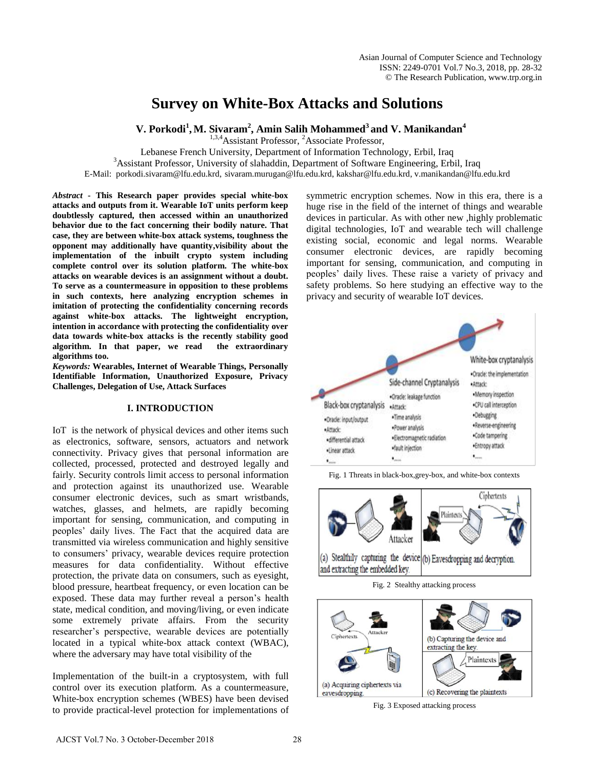# **Survey on White-Box Attacks and Solutions**

**V. Porkodi<sup>1</sup> ,M. Sivaram<sup>2</sup> , Amin Salih Mohammed<sup>3</sup> and V. Manikandan<sup>4</sup>**

<sup>1,3,4</sup>Assistant Professor, <sup>2</sup>Associate Professor,

Lebanese French University, Department of Information Technology, Erbil, Iraq

<sup>3</sup>Assistant Professor, University of slahaddin, Department of Software Engineering, Erbil, Iraq

E-Mail: porkodi.sivaram@lfu.edu.krd, sivaram.murugan@lfu.edu.krd, [kakshar@lfu.edu.krd,](mailto:kakshar@lfu.edu.krd) v.manikandan@lfu.edu.krd

*Abstract* **- This Research paper provides special white-box attacks and outputs from it. Wearable IoT units perform keep doubtlessly captured, then accessed within an unauthorized behavior due to the fact concerning their bodily nature. That case, they are between white-box attack systems, toughness the opponent may additionally have quantity,visibility about the implementation of the inbuilt crypto system including complete control over its solution platform. The white-box attacks on wearable devices is an assignment without a doubt. To serve as a countermeasure in opposition to these problems in such contexts, here analyzing encryption schemes in imitation of protecting the confidentiality concerning records against white-box attacks. The lightweight encryption, intention in accordance with protecting the confidentiality over data towards white-box attacks is the recently stability good algorithm. In that paper, we read the extraordinary algorithms too.** 

*Keywords:* **Wearables, Internet of Wearable Things, Personally Identifiable Information, Unauthorized Exposure, Privacy Challenges, Delegation of Use, Attack Surfaces** 

#### **I. INTRODUCTION**

IoT is the network of physical devices and other items such as electronics, software, sensors, actuators and network connectivity. Privacy gives that personal information are collected, processed, protected and destroyed legally and fairly. Security controls limit access to personal information and protection against its unauthorized use. Wearable consumer electronic devices, such as smart wristbands, watches, glasses, and helmets, are rapidly becoming important for sensing, communication, and computing in peoples' daily lives. The Fact that the acquired data are transmitted via wireless communication and highly sensitive to consumers' privacy, wearable devices require protection measures for data confidentiality. Without effective protection, the private data on consumers, such as eyesight, blood pressure, heartbeat frequency, or even location can be exposed. These data may further reveal a person's health state, medical condition, and moving/living, or even indicate some extremely private affairs. From the security researcher's perspective, wearable devices are potentially located in a typical white-box attack context (WBAC), where the adversary may have total visibility of the

Implementation of the built-in a cryptosystem, with full control over its execution platform. As a countermeasure, White-box encryption schemes (WBES) have been devised to provide practical-level protection for implementations of

symmetric encryption schemes. Now in this era, there is a huge rise in the field of the internet of things and wearable devices in particular. As with other new ,highly problematic digital technologies, IoT and wearable tech will challenge existing social, economic and legal norms. Wearable consumer electronic devices, are rapidly becoming important for sensing, communication, and computing in peoples' daily lives. These raise a variety of privacy and safety problems. So here studying an effective way to the privacy and security of wearable IoT devices.



Fig. 1 Threats in black-box,grey-box, and white-box contexts







Fig. 3 Exposed attacking process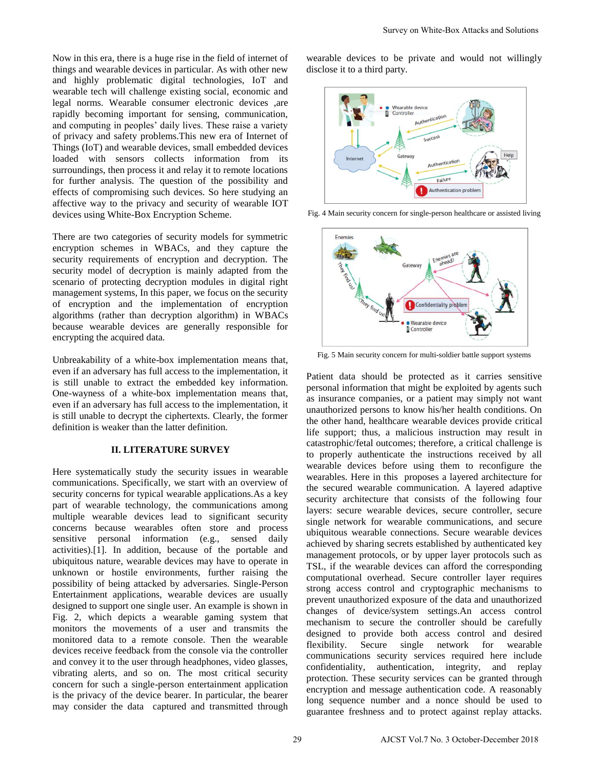Now in this era, there is a huge rise in the field of internet of things and wearable devices in particular. As with other new and highly problematic digital technologies, IoT and wearable tech will challenge existing social, economic and legal norms. Wearable consumer electronic devices ,are rapidly becoming important for sensing, communication, and computing in peoples' daily lives. These raise a variety of privacy and safety problems.This new era of Internet of Things (IoT) and wearable devices, small embedded devices loaded with sensors collects information from its

surroundings, then process it and relay it to remote locations for further analysis. The question of the possibility and effects of compromising such devices. So here studying an affective way to the privacy and security of wearable IOT devices using White-Box Encryption Scheme.

There are two categories of security models for symmetric encryption schemes in WBACs, and they capture the security requirements of encryption and decryption. The security model of decryption is mainly adapted from the scenario of protecting decryption modules in digital right management systems, In this paper, we focus on the security of encryption and the implementation of encryption algorithms (rather than decryption algorithm) in WBACs because wearable devices are generally responsible for encrypting the acquired data.

Unbreakability of a white-box implementation means that, even if an adversary has full access to the implementation, it is still unable to extract the embedded key information. One-wayness of a white-box implementation means that, even if an adversary has full access to the implementation, it is still unable to decrypt the ciphertexts. Clearly, the former definition is weaker than the latter definition.

## **II. LITERATURE SURVEY**

Here systematically study the security issues in wearable communications. Specifically, we start with an overview of security concerns for typical wearable applications.As a key part of wearable technology, the communications among multiple wearable devices lead to significant security concerns because wearables often store and process sensitive personal information (e.g., sensed daily activities).[1]. In addition, because of the portable and ubiquitous nature, wearable devices may have to operate in unknown or hostile environments, further raising the possibility of being attacked by adversaries. Single-Person Entertainment applications, wearable devices are usually designed to support one single user. An example is shown in Fig. 2, which depicts a wearable gaming system that monitors the movements of a user and transmits the monitored data to a remote console. Then the wearable devices receive feedback from the console via the controller and convey it to the user through headphones, video glasses, vibrating alerts, and so on. The most critical security concern for such a single-person entertainment application is the privacy of the device bearer. In particular, the bearer may consider the data captured and transmitted through

wearable devices to be private and would not willingly disclose it to a third party.



Fig. 4 Main security concern for single-person healthcare or assisted living



Fig. 5 Main security concern for multi-soldier battle support systems

Patient data should be protected as it carries sensitive personal information that might be exploited by agents such as insurance companies, or a patient may simply not want unauthorized persons to know his/her health conditions. On the other hand, healthcare wearable devices provide critical life support; thus, a malicious instruction may result in catastrophic/fetal outcomes; therefore, a critical challenge is to properly authenticate the instructions received by all wearable devices before using them to reconfigure the wearables. Here in this proposes a layered architecture for the secured wearable communication. A layered adaptive security architecture that consists of the following four layers: secure wearable devices, secure controller, secure single network for wearable communications, and secure ubiquitous wearable connections. Secure wearable devices achieved by sharing secrets established by authenticated key management protocols, or by upper layer protocols such as TSL, if the wearable devices can afford the corresponding computational overhead. Secure controller layer requires strong access control and cryptographic mechanisms to prevent unauthorized exposure of the data and unauthorized changes of device/system settings.An access control mechanism to secure the controller should be carefully designed to provide both access control and desired flexibility. Secure single network for wearable communications security services required here include confidentiality, authentication, integrity, and replay protection. These security services can be granted through encryption and message authentication code. A reasonably long sequence number and a nonce should be used to guarantee freshness and to protect against replay attacks. Survey on White-Box Attacks and Solutions<br>
Weakness it to a third party.<br>
The process control and the party of the party of the state of the party of the state of the state of the state of the state of the state of the st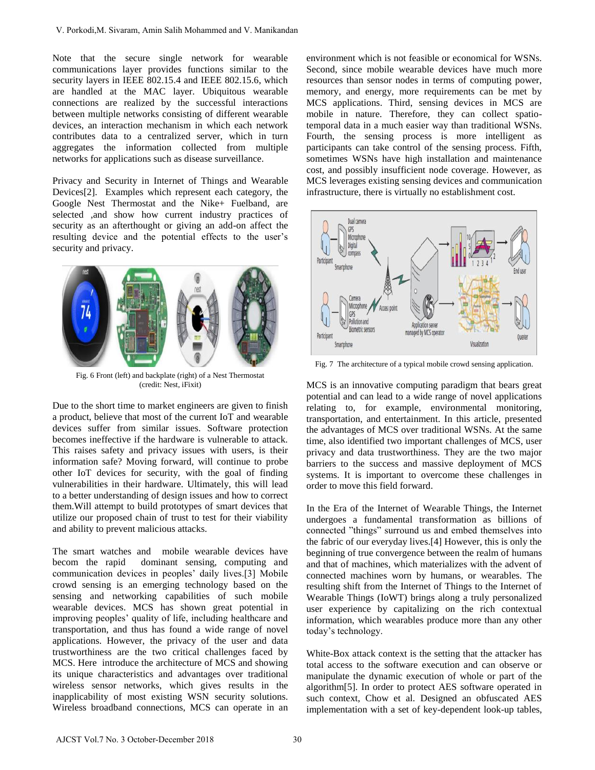Note that the secure single network for wearable communications layer provides functions similar to the security layers in IEEE 802.15.4 and IEEE 802.15.6, which are handled at the MAC layer. Ubiquitous wearable connections are realized by the successful interactions between multiple networks consisting of different wearable devices, an interaction mechanism in which each network contributes data to a centralized server, which in turn aggregates the information collected from multiple networks for applications such as disease surveillance.

Privacy and Security in Internet of Things and Wearable Devices[2]. Examples which represent each category, the Google Nest Thermostat and the Nike+ Fuelband, are selected ,and show how current industry practices of security as an afterthought or giving an add-on affect the resulting device and the potential effects to the user's security and privacy.



Fig. 6 Front (left) and backplate (right) of a Nest Thermostat (credit: Nest, iFixit)

Due to the short time to market engineers are given to finish a product, believe that most of the current IoT and wearable devices suffer from similar issues. Software protection becomes ineffective if the hardware is vulnerable to attack. This raises safety and privacy issues with users, is their information safe? Moving forward, will continue to probe other IoT devices for security, with the goal of finding vulnerabilities in their hardware. Ultimately, this will lead to a better understanding of design issues and how to correct them.Will attempt to build prototypes of smart devices that utilize our proposed chain of trust to test for their viability and ability to prevent malicious attacks.

The smart watches and mobile wearable devices have becom the rapid dominant sensing, computing and communication devices in peoples' daily lives.[3] Mobile crowd sensing is an emerging technology based on the sensing and networking capabilities of such mobile wearable devices. MCS has shown great potential in improving peoples' quality of life, including healthcare and transportation, and thus has found a wide range of novel applications. However, the privacy of the user and data trustworthiness are the two critical challenges faced by MCS. Here introduce the architecture of MCS and showing its unique characteristics and advantages over traditional wireless sensor networks, which gives results in the inapplicability of most existing WSN security solutions. Wireless broadband connections, MCS can operate in an V. Pockodi,M. Sivaram, Amin Salih Mohammed and V. Manikandan<br>
correction that the secure single network for weamble<br>
contrive users in HSEE 802.25 A and LEEE 802.15 A which there is<br>
eventual at the MAC layer. Using the si

environment which is not feasible or economical for WSNs. Second, since mobile wearable devices have much more resources than sensor nodes in terms of computing power, memory, and energy, more requirements can be met by MCS applications. Third, sensing devices in MCS are mobile in nature. Therefore, they can collect spatiotemporal data in a much easier way than traditional WSNs. Fourth, the sensing process is more intelligent as participants can take control of the sensing process. Fifth, sometimes WSNs have high installation and maintenance cost, and possibly insufficient node coverage. However, as MCS leverages existing sensing devices and communication infrastructure, there is virtually no establishment cost.



Fig. 7 The architecture of a typical mobile crowd sensing application.

MCS is an innovative computing paradigm that bears great potential and can lead to a wide range of novel applications relating to, for example, environmental monitoring, transportation, and entertainment. In this article, presented the advantages of MCS over traditional WSNs. At the same time, also identified two important challenges of MCS, user privacy and data trustworthiness. They are the two major barriers to the success and massive deployment of MCS systems. It is important to overcome these challenges in order to move this field forward.

In the Era of the Internet of Wearable Things, the Internet undergoes a fundamental transformation as billions of connected "things" surround us and embed themselves into the fabric of our everyday lives.[4] However, this is only the beginning of true convergence between the realm of humans and that of machines, which materializes with the advent of connected machines worn by humans, or wearables. The resulting shift from the Internet of Things to the Internet of Wearable Things (IoWT) brings along a truly personalized user experience by capitalizing on the rich contextual information, which wearables produce more than any other today's technology.

White-Box attack context is the setting that the attacker has total access to the software execution and can observe or manipulate the dynamic execution of whole or part of the algorithm[5]. In order to protect AES software operated in such context, Chow et al. Designed an obfuscated AES implementation with a set of key-dependent look-up tables,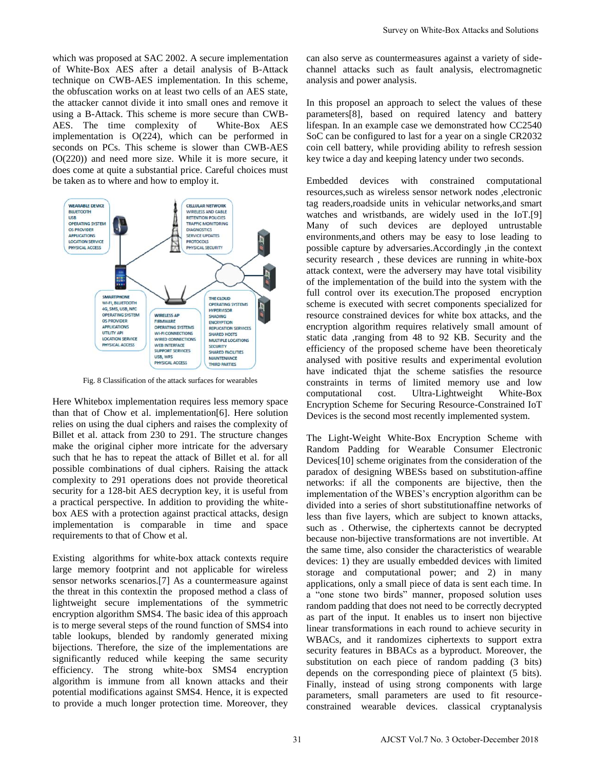which was proposed at SAC 2002. A secure implementation of White-Box AES after a detail analysis of B-Attack technique on CWB-AES implementation. In this scheme, the obfuscation works on at least two cells of an AES state, the attacker cannot divide it into small ones and remove it using a B-Attack. This scheme is more secure than CWB-AES. The time complexity of White-Box AES implementation is O(224), which can be performed in seconds on PCs. This scheme is slower than CWB-AES (O(220)) and need more size. While it is more secure, it does come at quite a substantial price. Careful choices must be taken as to where and how to employ it.



Fig. 8 Classification of the attack surfaces for wearables

Here Whitebox implementation requires less memory space than that of Chow et al. implementation[6]. Here solution relies on using the dual ciphers and raises the complexity of Billet et al. attack from 230 to 291. The structure changes make the original cipher more intricate for the adversary such that he has to repeat the attack of Billet et al. for all possible combinations of dual ciphers. Raising the attack complexity to 291 operations does not provide theoretical security for a 128-bit AES decryption key, it is useful from a practical perspective. In addition to providing the whitebox AES with a protection against practical attacks, design implementation is comparable in time and space requirements to that of Chow et al.

Existing algorithms for white-box attack contexts require large memory footprint and not applicable for wireless sensor networks scenarios.[7] As a countermeasure against the threat in this contextin the proposed method a class of lightweight secure implementations of the symmetric encryption algorithm SMS4. The basic idea of this approach is to merge several steps of the round function of SMS4 into table lookups, blended by randomly generated mixing bijections. Therefore, the size of the implementations are significantly reduced while keeping the same security efficiency. The strong white-box SMS4 encryption algorithm is immune from all known attacks and their potential modifications against SMS4. Hence, it is expected to provide a much longer protection time. Moreover, they

can also serve as countermeasures against a variety of sidechannel attacks such as fault analysis, electromagnetic analysis and power analysis.

In this proposel an approach to select the values of these parameters[8], based on required latency and battery lifespan. In an example case we demonstrated how CC2540 SoC can be configured to last for a year on a single CR2032 coin cell battery, while providing ability to refresh session key twice a day and keeping latency under two seconds.

Embedded devices with constrained computational resources,such as wireless sensor network nodes ,electronic tag readers,roadside units in vehicular networks,and smart watches and wristbands, are widely used in the IoT.[9] Many of such devices are deployed untrustable environments,and others may be easy to lose leading to possible capture by adversaries.Accordingly ,in the context security research , these devices are running in white-box attack context, were the adversery may have total visibility of the implementation of the build into the system with the full control over its execution.The proposed encryption scheme is executed with secret components specialized for resource constrained devices for white box attacks, and the encryption algorithm requires relatively small amount of static data ,ranging from 48 to 92 KB. Security and the efficiency of the proposed scheme have been theoreticaly analysed with positive results and experimental evolution have indicated thjat the scheme satisfies the resource constraints in terms of limited memory use and low computational cost. Ultra-Lightweight White-Box Encryption Scheme for Securing Resource-Constrained IoT Devices is the second most recently implemented system.

The Light-Weight White-Box Encryption Scheme with Random Padding for Wearable Consumer Electronic Devices[10] scheme originates from the consideration of the paradox of designing WBESs based on substitution-affine networks: if all the components are bijective, then the implementation of the WBES's encryption algorithm can be divided into a series of short substitutionaffine networks of less than five layers, which are subject to known attacks, such as . Otherwise, the ciphertexts cannot be decrypted because non-bijective transformations are not invertible. At the same time, also consider the characteristics of wearable devices: 1) they are usually embedded devices with limited storage and computational power; and 2) in many applications, only a small piece of data is sent each time. In a "one stone two birds" manner, proposed solution uses random padding that does not need to be correctly decrypted as part of the input. It enables us to insert non bijective linear transformations in each round to achieve security in WBACs, and it randomizes ciphertexts to support extra security features in BBACs as a byproduct. Moreover, the substitution on each piece of random padding (3 bits) depends on the corresponding piece of plaintext (5 bits). Finally, instead of using strong components with large parameters, small parameters are used to fit resourceconstrained wearable devices. classical cryptanalysis Survey on White-Box Attacks and Solutions<br>
channel attacks and solutions<br>
channel attacks and hower amalysis.<br>
In this property and power amalysis.<br>
In this property and power amalysis.<br>
In this property and power amalysi